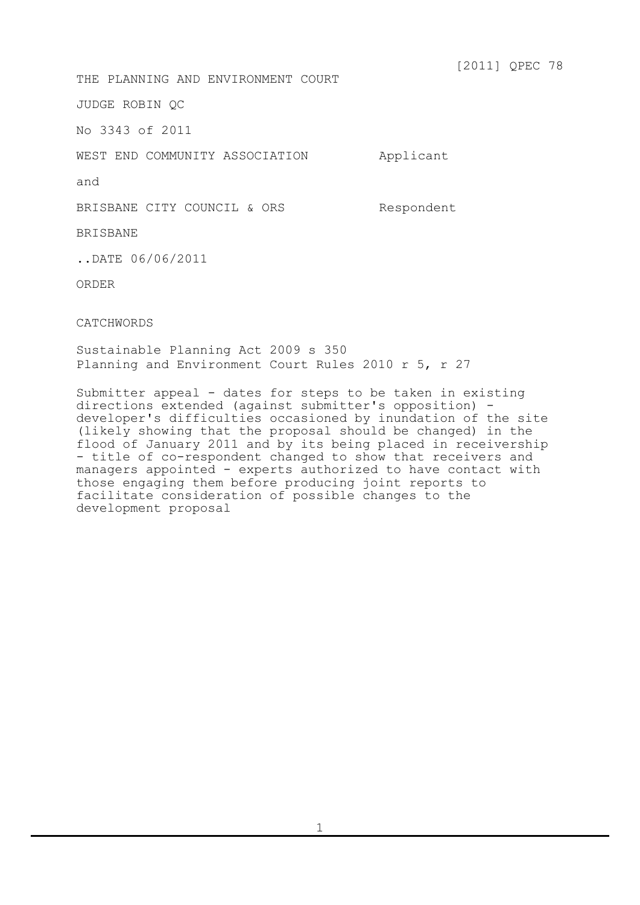[2011] QPEC 78

THE PLANNING AND ENVIRONMENT COURT

JUDGE ROBIN QC

No 3343 of 2011

WEST END COMMUNITY ASSOCIATION Applicant

and

BRISBANE CITY COUNCIL & ORS Respondent

BRISBANE

..DATE 06/06/2011

ORDER

CATCHWORDS

Sustainable Planning Act 2009 s 350 Planning and Environment Court Rules 2010 r 5, r 27

Submitter appeal - dates for steps to be taken in existing directions extended (against submitter's opposition) developer's difficulties occasioned by inundation of the site (likely showing that the proposal should be changed) in the flood of January 2011 and by its being placed in receivership - title of co-respondent changed to show that receivers and managers appointed - experts authorized to have contact with managers appointed the minimum interests to those engaging them before producing joint reports to facilitate consideration of possible changes to the development proposal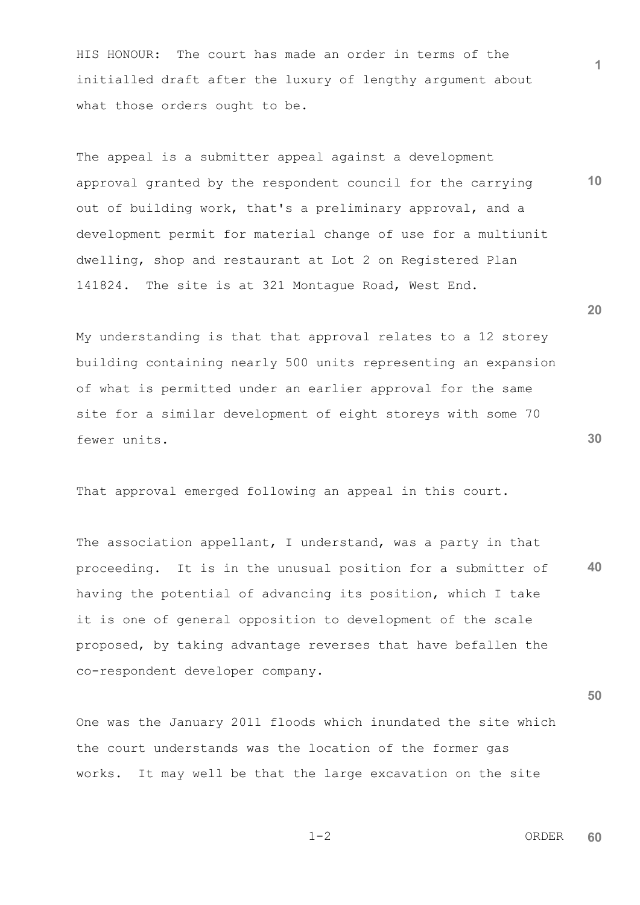HIS HONOUR: The court has made an order in terms of the initialled draft after the luxury of lengthy argument about what those orders ought to be.

The appeal is a submitter appeal against a development approval granted by the respondent council for the carrying out of building work, that's a preliminary approval, and a development permit for material change of use for a multiunit dwelling, shop and restaurant at Lot 2 on Registered Plan 141824. The site is at 321 Montague Road, West End.

My understanding is that that approval relates to a 12 storey building containing nearly 500 units representing an expansion of what is permitted under an earlier approval for the same site for a similar development of eight storeys with some 70 fewer units.

That approval emerged following an appeal in this court.

**40** The association appellant, I understand, was a party in that proceeding. It is in the unusual position for a submitter of having the potential of advancing its position, which I take it is one of general opposition to development of the scale proposed, by taking advantage reverses that have befallen the co-respondent developer company.

One was the January 2011 floods which inundated the site which the court understands was the location of the former gas works. It may well be that the large excavation on the site

 1-2 ORDER **60**

$$
1 - 2
$$

**30**

**50**

**20**

**10**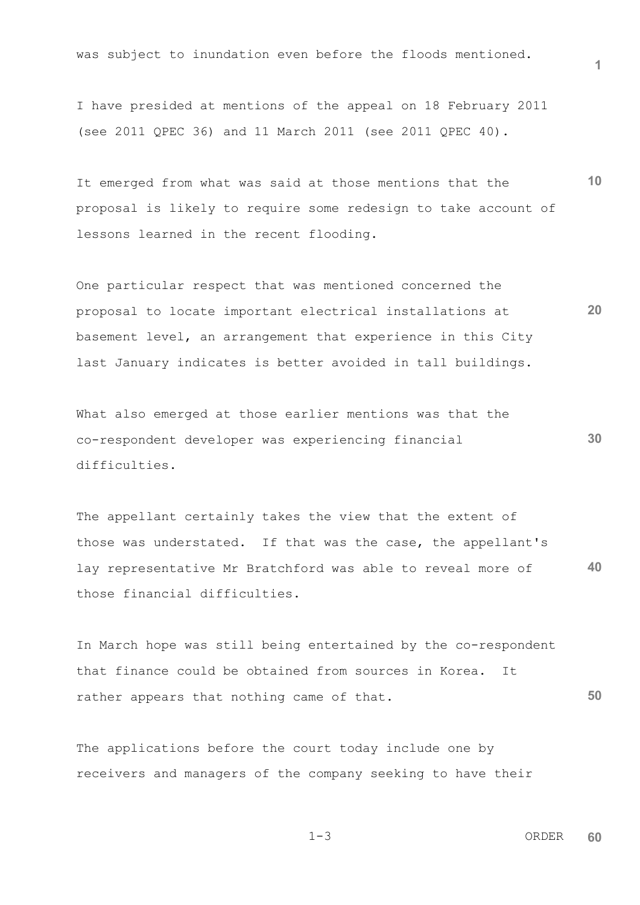was subject to inundation even before the floods mentioned.

I have presided at mentions of the appeal on 18 February 2011 (see 2011 QPEC 36) and 11 March 2011 (see 2011 QPEC 40).

It emerged from what was said at those mentions that the proposal is likely to require some redesign to take account of lessons learned in the recent flooding.

**20** One particular respect that was mentioned concerned the proposal to locate important electrical installations at basement level, an arrangement that experience in this City last January indicates is better avoided in tall buildings.

What also emerged at those earlier mentions was that the co-respondent developer was experiencing financial difficulties.

**40** The appellant certainly takes the view that the extent of those was understated. If that was the case, the appellant's lay representative Mr Bratchford was able to reveal more of those financial difficulties.

**50** In March hope was still being entertained by the co-respondent that finance could be obtained from sources in Korea. It rather appears that nothing came of that.

The applications before the court today include one by receivers and managers of the company seeking to have their

 1-3 ORDER **60**

**1**

**10**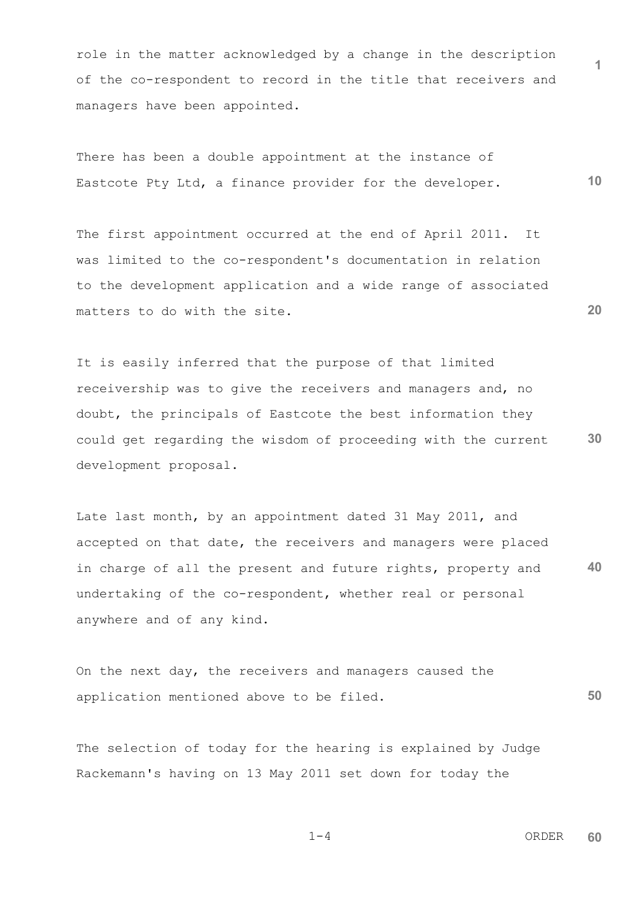role in the matter acknowledged by a change in the description of the co-respondent to record in the title that receivers and managers have been appointed.

**10** There has been a double appointment at the instance of Eastcote Pty Ltd, a finance provider for the developer.

The first appointment occurred at the end of April 2011. It was limited to the co-respondent's documentation in relation to the development application and a wide range of associated matters to do with the site.

**30** It is easily inferred that the purpose of that limited receivership was to give the receivers and managers and, no doubt, the principals of Eastcote the best information they could get regarding the wisdom of proceeding with the current development proposal.

**40** Late last month, by an appointment dated 31 May 2011, and accepted on that date, the receivers and managers were placed in charge of all the present and future rights, property and undertaking of the co-respondent, whether real or personal anywhere and of any kind.

**50** On the next day, the receivers and managers caused the application mentioned above to be filed.

The selection of today for the hearing is explained by Judge Rackemann's having on 13 May 2011 set down for today the

$$
1-4
$$
 **ORDER 60**

**1**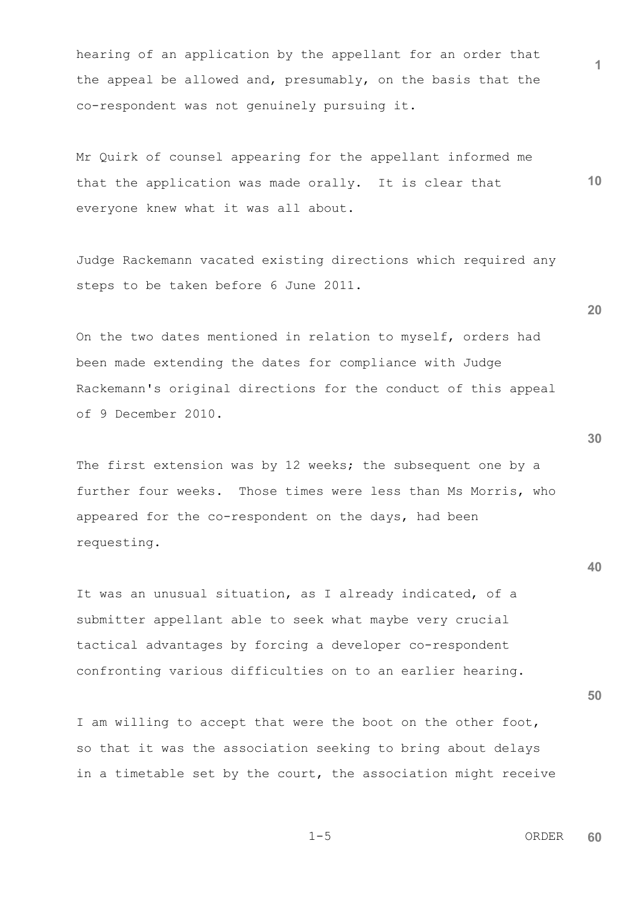hearing of an application by the appellant for an order that the appeal be allowed and, presumably, on the basis that the co-respondent was not genuinely pursuing it.

**10** Mr Quirk of counsel appearing for the appellant informed me that the application was made orally. It is clear that everyone knew what it was all about.

Judge Rackemann vacated existing directions which required any steps to be taken before 6 June 2011.

On the two dates mentioned in relation to myself, orders had been made extending the dates for compliance with Judge Rackemann's original directions for the conduct of this appeal of 9 December 2010.

The first extension was by 12 weeks; the subsequent one by a further four weeks. Those times were less than Ms Morris, who appeared for the co-respondent on the days, had been requesting.

It was an unusual situation, as I already indicated, of a submitter appellant able to seek what maybe very crucial tactical advantages by forcing a developer co-respondent confronting various difficulties on to an earlier hearing.

I am willing to accept that were the boot on the other foot, so that it was the association seeking to bring about delays in a timetable set by the court, the association might receive **30**

**20**

**40**

 $1-5$  ORDER **60**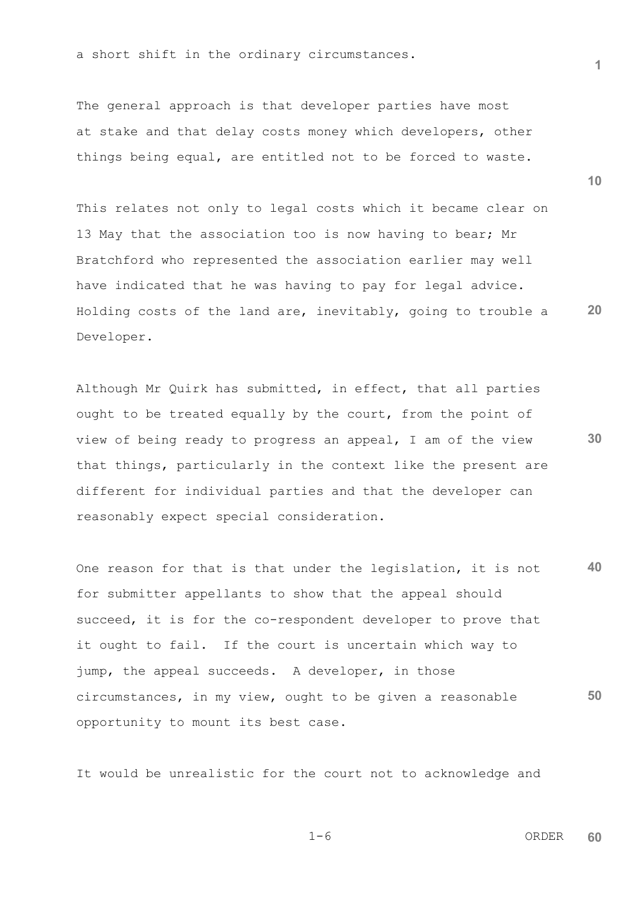a short shift in the ordinary circumstances.

The general approach is that developer parties have most at stake and that delay costs money which developers, other things being equal, are entitled not to be forced to waste.

**20** This relates not only to legal costs which it became clear on 13 May that the association too is now having to bear; Mr Bratchford who represented the association earlier may well have indicated that he was having to pay for legal advice. Holding costs of the land are, inevitably, going to trouble a Developer.

**30** Although Mr Quirk has submitted, in effect, that all parties ought to be treated equally by the court, from the point of view of being ready to progress an appeal, I am of the view that things, particularly in the context like the present are different for individual parties and that the developer can reasonably expect special consideration.

**40 50** One reason for that is that under the legislation, it is not for submitter appellants to show that the appeal should succeed, it is for the co-respondent developer to prove that it ought to fail. If the court is uncertain which way to jump, the appeal succeeds. A developer, in those circumstances, in my view, ought to be given a reasonable opportunity to mount its best case.

It would be unrealistic for the court not to acknowledge and

**10**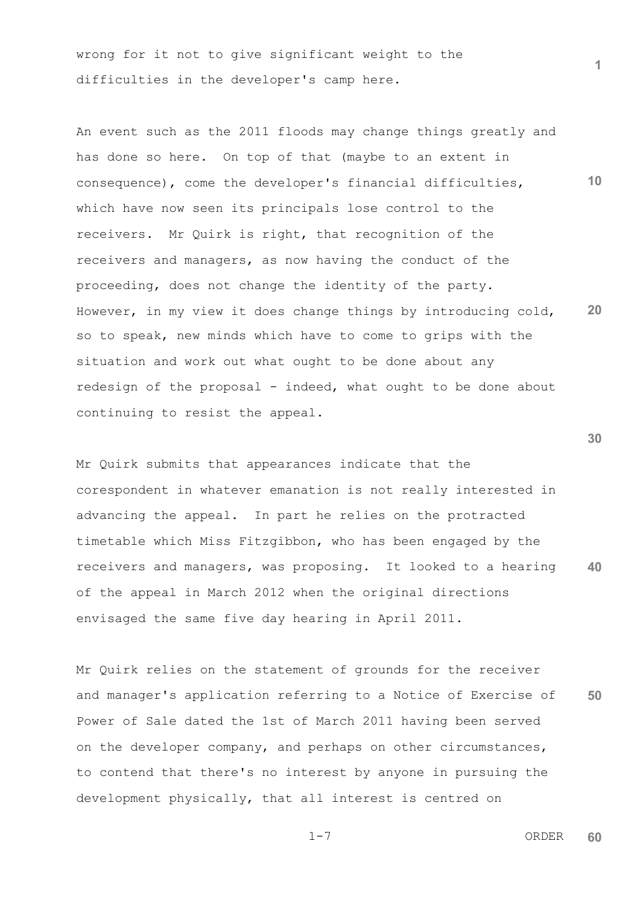wrong for it not to give significant weight to the difficulties in the developer's camp here.

**10 20** An event such as the 2011 floods may change things greatly and has done so here. On top of that (maybe to an extent in consequence), come the developer's financial difficulties, which have now seen its principals lose control to the receivers. Mr Quirk is right, that recognition of the receivers and managers, as now having the conduct of the proceeding, does not change the identity of the party. However, in my view it does change things by introducing cold, so to speak, new minds which have to come to grips with the situation and work out what ought to be done about any redesign of the proposal - indeed, what ought to be done about continuing to resist the appeal.

**40** Mr Quirk submits that appearances indicate that the corespondent in whatever emanation is not really interested in advancing the appeal. In part he relies on the protracted timetable which Miss Fitzgibbon, who has been engaged by the receivers and managers, was proposing. It looked to a hearing of the appeal in March 2012 when the original directions envisaged the same five day hearing in April 2011.

**50** Mr Quirk relies on the statement of grounds for the receiver and manager's application referring to a Notice of Exercise of Power of Sale dated the 1st of March 2011 having been served on the developer company, and perhaps on other circumstances, to contend that there's no interest by anyone in pursuing the development physically, that all interest is centred on

$$
1-7
$$

 1-7 ORDER **60**

**1**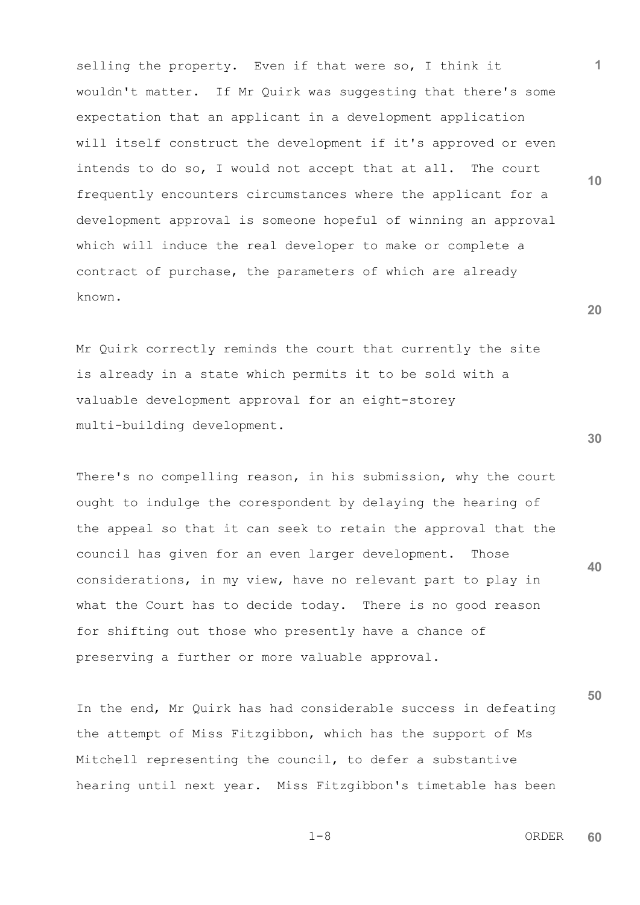selling the property. Even if that were so, I think it wouldn't matter. If Mr Quirk was suggesting that there's some expectation that an applicant in a development application will itself construct the development if it's approved or even intends to do so, I would not accept that at all. The court frequently encounters circumstances where the applicant for a development approval is someone hopeful of winning an approval which will induce the real developer to make or complete a contract of purchase, the parameters of which are already known.

Mr Quirk correctly reminds the court that currently the site is already in a state which permits it to be sold with a valuable development approval for an eight-storey multi-building development.

There's no compelling reason, in his submission, why the court ought to indulge the corespondent by delaying the hearing of the appeal so that it can seek to retain the approval that the council has given for an even larger development. Those considerations, in my view, have no relevant part to play in what the Court has to decide today. There is no good reason for shifting out those who presently have a chance of preserving a further or more valuable approval.

In the end, Mr Quirk has had considerable success in defeating the attempt of Miss Fitzgibbon, which has the support of Ms Mitchell representing the council, to defer a substantive hearing until next year. Miss Fitzgibbon's timetable has been

**20**

**10**

**1**

**30**

**40**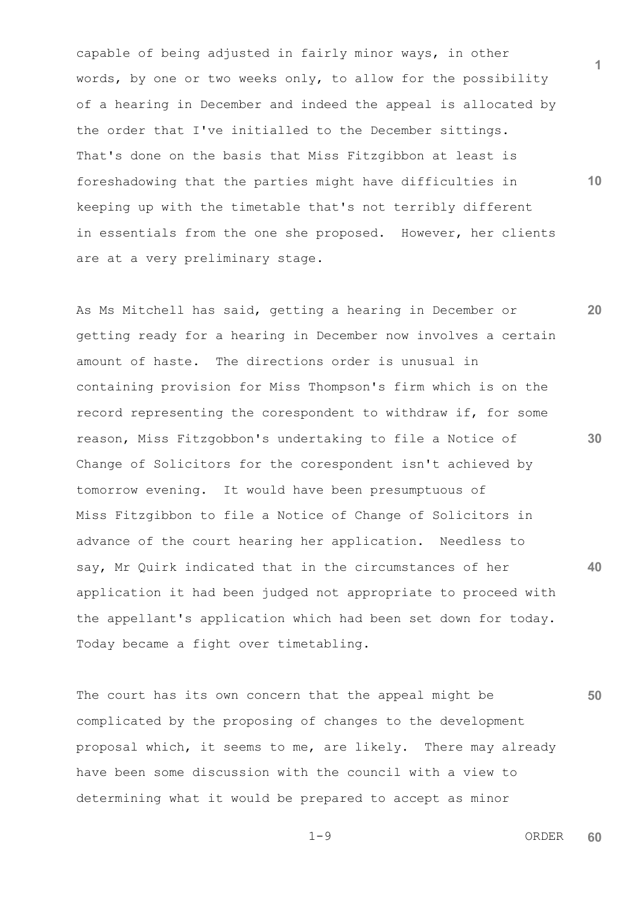capable of being adjusted in fairly minor ways, in other words, by one or two weeks only, to allow for the possibility of a hearing in December and indeed the appeal is allocated by the order that I've initialled to the December sittings. That's done on the basis that Miss Fitzgibbon at least is foreshadowing that the parties might have difficulties in keeping up with the timetable that's not terribly different in essentials from the one she proposed. However, her clients are at a very preliminary stage.

**20 30 40** As Ms Mitchell has said, getting a hearing in December or getting ready for a hearing in December now involves a certain amount of haste. The directions order is unusual in containing provision for Miss Thompson's firm which is on the record representing the corespondent to withdraw if, for some reason, Miss Fitzgobbon's undertaking to file a Notice of Change of Solicitors for the corespondent isn't achieved by tomorrow evening. It would have been presumptuous of Miss Fitzgibbon to file a Notice of Change of Solicitors in advance of the court hearing her application. Needless to say, Mr Quirk indicated that in the circumstances of her application it had been judged not appropriate to proceed with the appellant's application which had been set down for today. Today became a fight over timetabling.

**50** The court has its own concern that the appeal might be complicated by the proposing of changes to the development proposal which, it seems to me, are likely. There may already have been some discussion with the council with a view to determining what it would be prepared to accept as minor

$$
1-9
$$

 $1-9$  ORDER **60**

**1**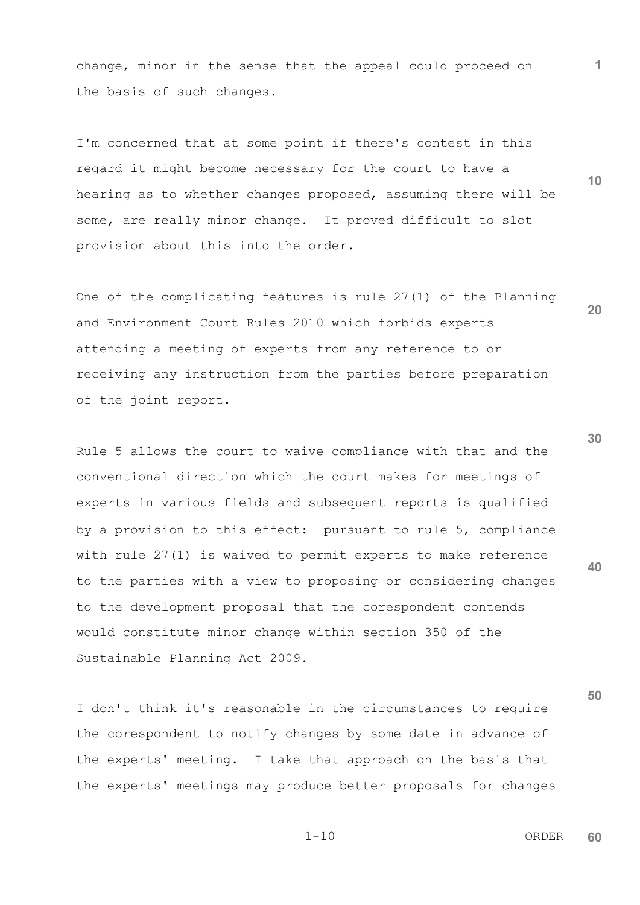change, minor in the sense that the appeal could proceed on the basis of such changes.

I'm concerned that at some point if there's contest in this regard it might become necessary for the court to have a hearing as to whether changes proposed, assuming there will be some, are really minor change. It proved difficult to slot provision about this into the order.

One of the complicating features is rule 27(1) of the Planning and Environment Court Rules 2010 which forbids experts attending a meeting of experts from any reference to or receiving any instruction from the parties before preparation of the joint report.

Rule 5 allows the court to waive compliance with that and the conventional direction which the court makes for meetings of experts in various fields and subsequent reports is qualified by a provision to this effect: pursuant to rule 5, compliance with rule 27(1) is waived to permit experts to make reference to the parties with a view to proposing or considering changes to the development proposal that the corespondent contends would constitute minor change within section 350 of the Sustainable Planning Act 2009.

**50** I don't think it's reasonable in the circumstances to require the corespondent to notify changes by some date in advance of the experts' meeting. I take that approach on the basis that the experts' meetings may produce better proposals for changes

 1-10 ORDER **60**

**30**

**1**

**10**

**20**